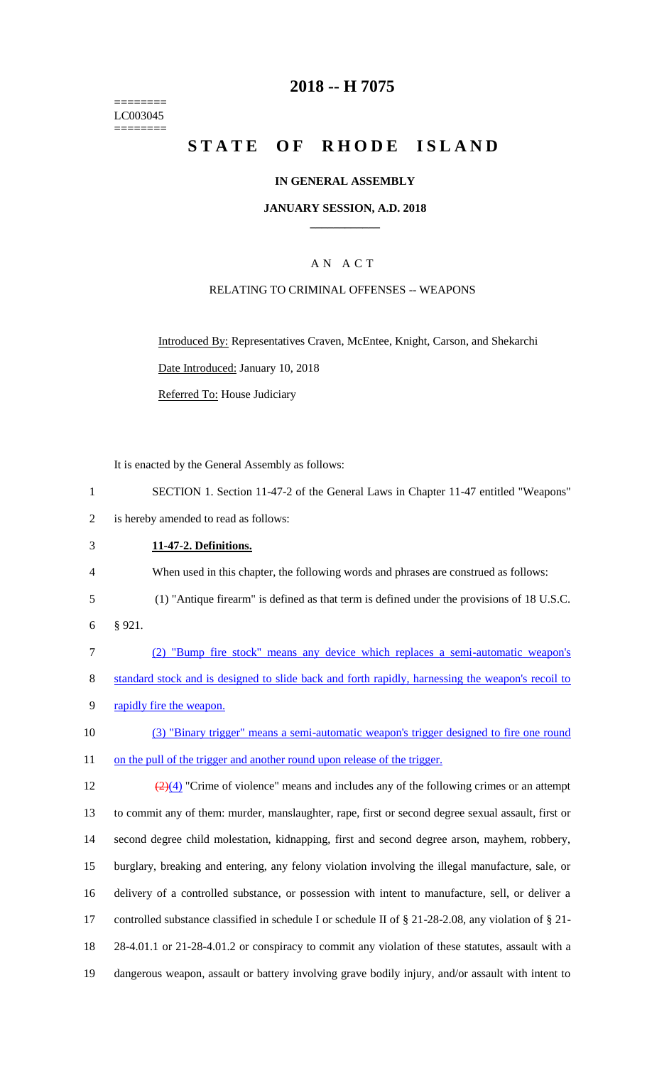======== LC003045 ========

## **2018 -- H 7075**

# **STATE OF RHODE ISLAND**

### **IN GENERAL ASSEMBLY**

### **JANUARY SESSION, A.D. 2018 \_\_\_\_\_\_\_\_\_\_\_\_**

### A N A C T

### RELATING TO CRIMINAL OFFENSES -- WEAPONS

Introduced By: Representatives Craven, McEntee, Knight, Carson, and Shekarchi

Date Introduced: January 10, 2018

Referred To: House Judiciary

It is enacted by the General Assembly as follows:

1 SECTION 1. Section 11-47-2 of the General Laws in Chapter 11-47 entitled "Weapons"

2 is hereby amended to read as follows:

3 **11-47-2. Definitions.**

4 When used in this chapter, the following words and phrases are construed as follows:

- 5 (1) "Antique firearm" is defined as that term is defined under the provisions of 18 U.S.C.
- 6 § 921.
- 7 (2) "Bump fire stock" means any device which replaces a semi-automatic weapon's 8 standard stock and is designed to slide back and forth rapidly, harnessing the weapon's recoil to 9 rapidly fire the weapon.
- 10 (3) "Binary trigger" means a semi-automatic weapon's trigger designed to fire one round 11 on the pull of the trigger and another round upon release of the trigger.

 $\frac{(2)(4)}{(2)(4)}$  "Crime of violence" means and includes any of the following crimes or an attempt to commit any of them: murder, manslaughter, rape, first or second degree sexual assault, first or second degree child molestation, kidnapping, first and second degree arson, mayhem, robbery, burglary, breaking and entering, any felony violation involving the illegal manufacture, sale, or delivery of a controlled substance, or possession with intent to manufacture, sell, or deliver a controlled substance classified in schedule I or schedule II of § 21-28-2.08, any violation of § 21- 28-4.01.1 or 21-28-4.01.2 or conspiracy to commit any violation of these statutes, assault with a dangerous weapon, assault or battery involving grave bodily injury, and/or assault with intent to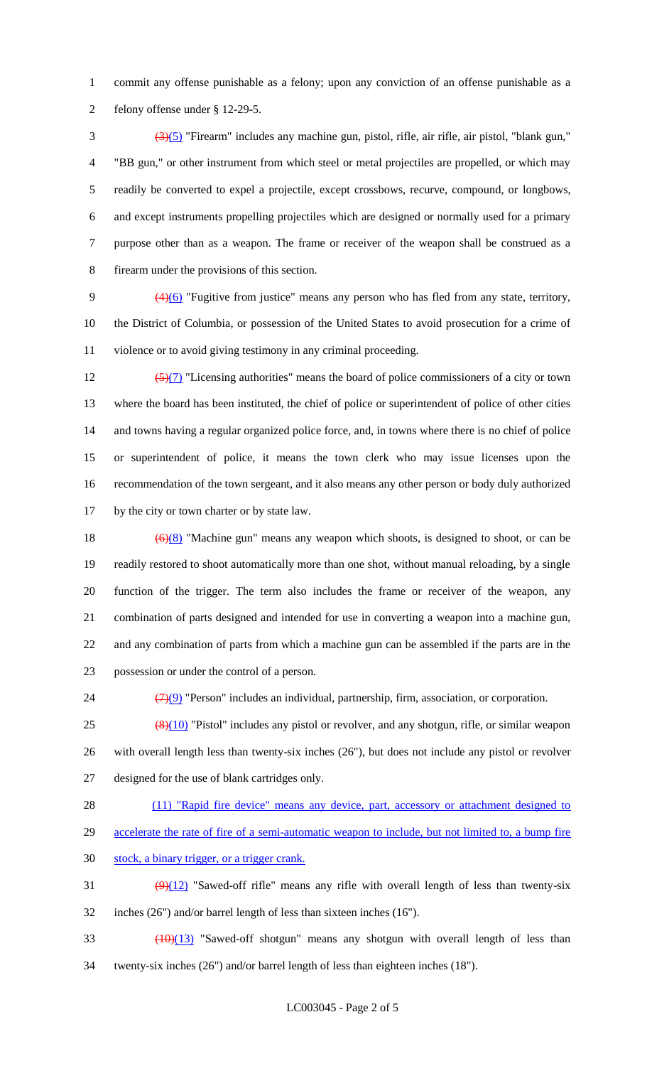commit any offense punishable as a felony; upon any conviction of an offense punishable as a felony offense under § 12-29-5.

 (3)(5) "Firearm" includes any machine gun, pistol, rifle, air rifle, air pistol, "blank gun," "BB gun," or other instrument from which steel or metal projectiles are propelled, or which may readily be converted to expel a projectile, except crossbows, recurve, compound, or longbows, and except instruments propelling projectiles which are designed or normally used for a primary purpose other than as a weapon. The frame or receiver of the weapon shall be construed as a firearm under the provisions of this section.

9  $(4)(6)$  "Fugitive from justice" means any person who has fled from any state, territory, the District of Columbia, or possession of the United States to avoid prosecution for a crime of violence or to avoid giving testimony in any criminal proceeding.

 $\left(\frac{5}{7}\right)$  "Licensing authorities" means the board of police commissioners of a city or town where the board has been instituted, the chief of police or superintendent of police of other cities and towns having a regular organized police force, and, in towns where there is no chief of police or superintendent of police, it means the town clerk who may issue licenses upon the recommendation of the town sergeant, and it also means any other person or body duly authorized by the city or town charter or by state law.

 $(6)(8)$  "Machine gun" means any weapon which shoots, is designed to shoot, or can be readily restored to shoot automatically more than one shot, without manual reloading, by a single function of the trigger. The term also includes the frame or receiver of the weapon, any combination of parts designed and intended for use in converting a weapon into a machine gun, and any combination of parts from which a machine gun can be assembled if the parts are in the possession or under the control of a person.

24  $\left(\frac{7}{9}\right)$  "Person" includes an individual, partnership, firm, association, or corporation.

 $25 \left( \frac{8}{10} \right)$  "Pistol" includes any pistol or revolver, and any shotgun, rifle, or similar weapon with overall length less than twenty-six inches (26"), but does not include any pistol or revolver designed for the use of blank cartridges only.

- 28 (11) "Rapid fire device" means any device, part, accessory or attachment designed to
- accelerate the rate of fire of a semi-automatic weapon to include, but not limited to, a bump fire
- stock, a binary trigger, or a trigger crank.
- 31  $(9)(12)$  "Sawed-off rifle" means any rifle with overall length of less than twenty-six inches (26") and/or barrel length of less than sixteen inches (16").
- 33 (10)(13) "Sawed-off shotgun" means any shotgun with overall length of less than twenty-six inches (26") and/or barrel length of less than eighteen inches (18").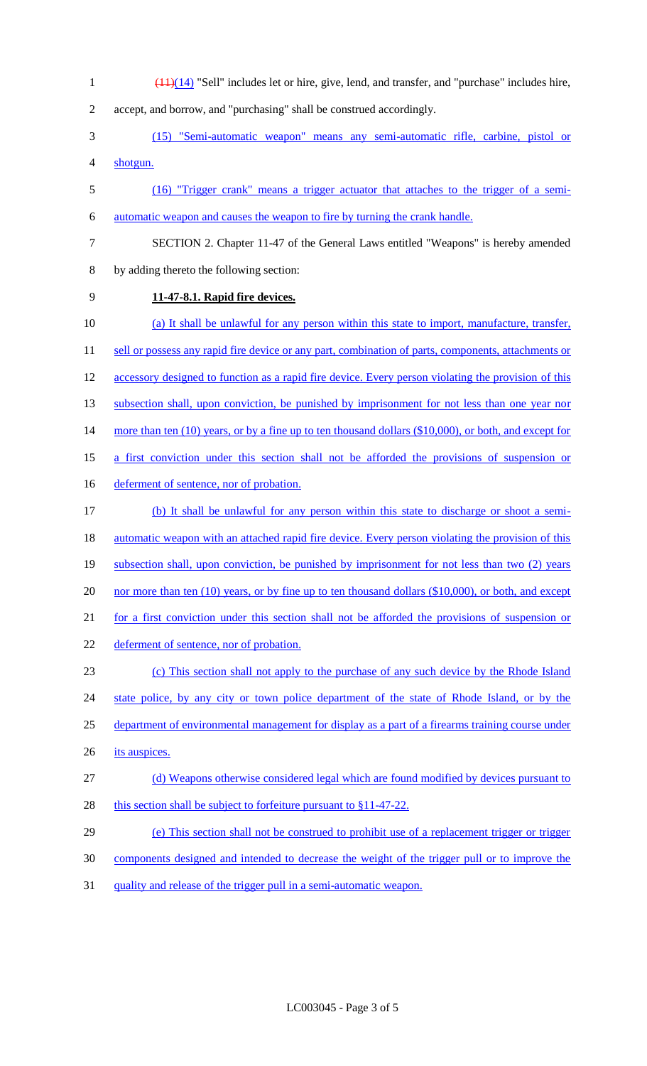(11)(14) "Sell" includes let or hire, give, lend, and transfer, and "purchase" includes hire,

accept, and borrow, and "purchasing" shall be construed accordingly.

- (15) "Semi-automatic weapon" means any semi-automatic rifle, carbine, pistol or shotgun.
- (16) "Trigger crank" means a trigger actuator that attaches to the trigger of a semi-automatic weapon and causes the weapon to fire by turning the crank handle.
- 
- SECTION 2. Chapter 11-47 of the General Laws entitled "Weapons" is hereby amended

# **11-47-8.1. Rapid fire devices.**

by adding thereto the following section:

- (a) It shall be unlawful for any person within this state to import, manufacture, transfer, 11 sell or possess any rapid fire device or any part, combination of parts, components, attachments or 12 accessory designed to function as a rapid fire device. Every person violating the provision of this 13 subsection shall, upon conviction, be punished by imprisonment for not less than one year nor 14 more than ten (10) years, or by a fine up to ten thousand dollars (\$10,000), or both, and except for a first conviction under this section shall not be afforded the provisions of suspension or 16 deferment of sentence, nor of probation. (b) It shall be unlawful for any person within this state to discharge or shoot a semi-18 automatic weapon with an attached rapid fire device. Every person violating the provision of this subsection shall, upon conviction, be punished by imprisonment for not less than two (2) years 20 nor more than ten (10) years, or by fine up to ten thousand dollars (\$10,000), or both, and except for a first conviction under this section shall not be afforded the provisions of suspension or deferment of sentence, nor of probation. (c) This section shall not apply to the purchase of any such device by the Rhode Island 24 state police, by any city or town police department of the state of Rhode Island, or by the department of environmental management for display as a part of a firearms training course under 26 its auspices. (d) Weapons otherwise considered legal which are found modified by devices pursuant to 28 this section shall be subject to forfeiture pursuant to  $§11-47-22$ . 29 (e) This section shall not be construed to prohibit use of a replacement trigger or trigger components designed and intended to decrease the weight of the trigger pull or to improve the
- quality and release of the trigger pull in a semi-automatic weapon.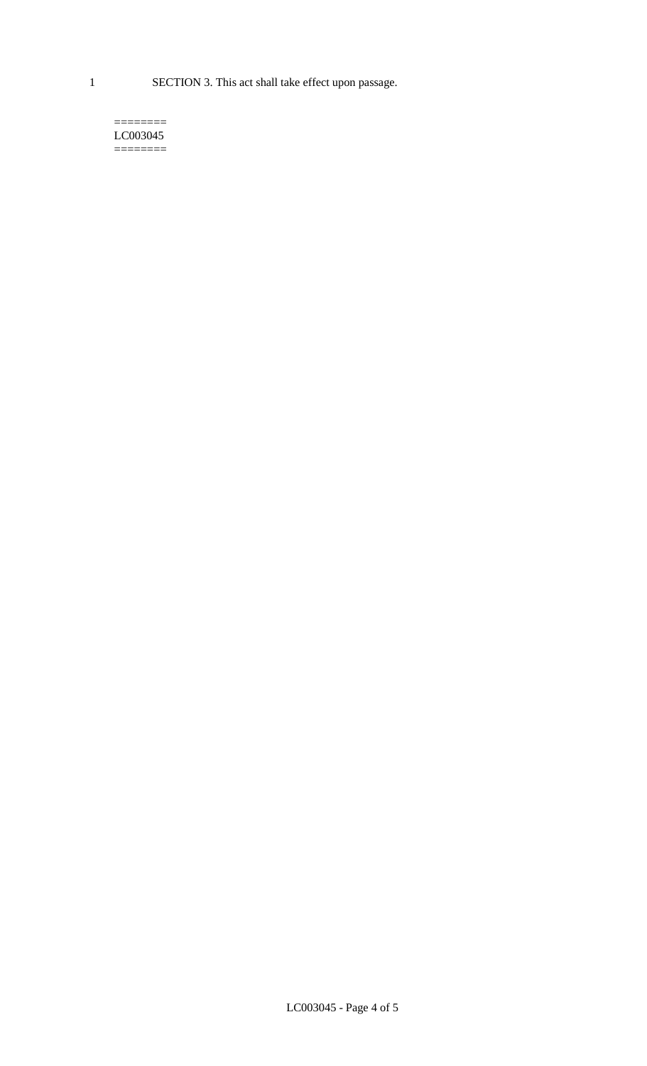1 SECTION 3. This act shall take effect upon passage.

#### $=$ LC003045  $=$